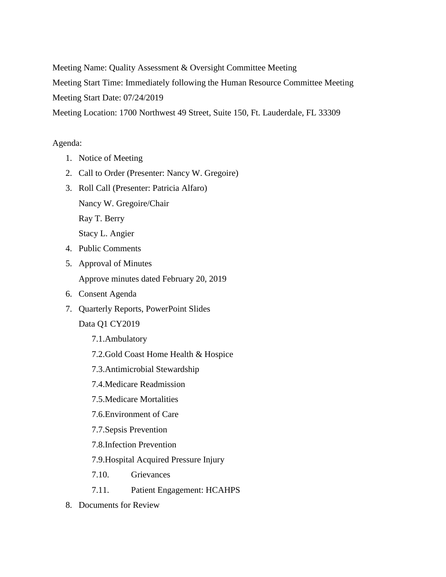Meeting Name: Quality Assessment & Oversight Committee Meeting

Meeting Start Time: Immediately following the Human Resource Committee Meeting

Meeting Start Date: 07/24/2019

Meeting Location: 1700 Northwest 49 Street, Suite 150, Ft. Lauderdale, FL 33309

## Agenda:

- 1. Notice of Meeting
- 2. Call to Order (Presenter: Nancy W. Gregoire)
- 3. Roll Call (Presenter: Patricia Alfaro)
	- Nancy W. Gregoire/Chair
	- Ray T. Berry

Stacy L. Angier

- 4. Public Comments
- 5. Approval of Minutes Approve minutes dated February 20, 2019
- 6. Consent Agenda
- 7. Quarterly Reports, PowerPoint Slides

Data Q1 CY2019

- 7.1.Ambulatory
- 7.2.Gold Coast Home Health & Hospice
- 7.3.Antimicrobial Stewardship
- 7.4.Medicare Readmission
- 7.5.Medicare Mortalities
- 7.6.Environment of Care
- 7.7.Sepsis Prevention
- 7.8.Infection Prevention
- 7.9.Hospital Acquired Pressure Injury
- 7.10. Grievances
- 7.11. Patient Engagement: HCAHPS
- 8. Documents for Review